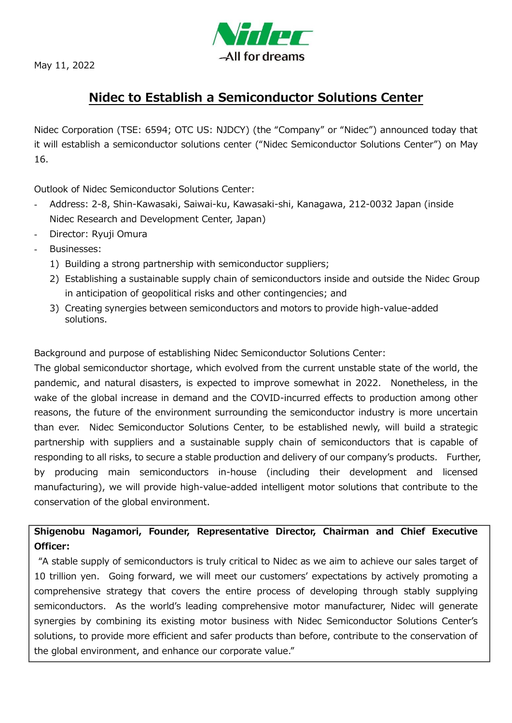

May 11, 2022

## **Nidec to Establish a Semiconductor Solutions Center**

Nidec Corporation (TSE: 6594; OTC US: NJDCY) (the "Company" or "Nidec") announced today that it will establish a semiconductor solutions center ("Nidec Semiconductor Solutions Center") on May 16.

Outlook of Nidec Semiconductor Solutions Center:

- Address: 2-8, Shin-Kawasaki, Saiwai-ku, Kawasaki-shi, Kanagawa, 212-0032 Japan (inside Nidec Research and Development Center, Japan)
- Director: Ryuji Omura
- Businesses:
	- 1) Building a strong partnership with semiconductor suppliers;
	- 2) Establishing a sustainable supply chain of semiconductors inside and outside the Nidec Group in anticipation of geopolitical risks and other contingencies; and
	- 3) Creating synergies between semiconductors and motors to provide high-value-added solutions.

Background and purpose of establishing Nidec Semiconductor Solutions Center:

The global semiconductor shortage, which evolved from the current unstable state of the world, the pandemic, and natural disasters, is expected to improve somewhat in 2022. Nonetheless, in the wake of the global increase in demand and the COVID-incurred effects to production among other reasons, the future of the environment surrounding the semiconductor industry is more uncertain than ever. Nidec Semiconductor Solutions Center, to be established newly, will build a strategic partnership with suppliers and a sustainable supply chain of semiconductors that is capable of responding to all risks, to secure a stable production and delivery of our company's products. Further, by producing main semiconductors in-house (including their development and licensed manufacturing), we will provide high-value-added intelligent motor solutions that contribute to the conservation of the global environment.

**Shigenobu Nagamori, Founder, Representative Director, Chairman and Chief Executive Officer:**

"A stable supply of semiconductors is truly critical to Nidec as we aim to achieve our sales target of 10 trillion yen. Going forward, we will meet our customers' expectations by actively promoting a comprehensive strategy that covers the entire process of developing through stably supplying semiconductors. As the world's leading comprehensive motor manufacturer, Nidec will generate synergies by combining its existing motor business with Nidec Semiconductor Solutions Center's solutions, to provide more efficient and safer products than before, contribute to the conservation of the global environment, and enhance our corporate value."